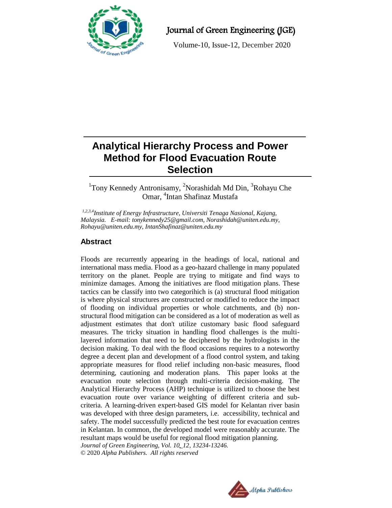

Journal of Green Engineering (JGE)

Volume-10, Issue-12, December 2020

# **Analytical Hierarchy Process and Power Method for Flood Evacuation Route Selection**

# <sup>1</sup>Tony Kennedy Antronisamy, <sup>2</sup>Norashidah Md Din, <sup>3</sup>Rohayu Che Omar, <sup>4</sup>Intan Shafinaz Mustafa

*1,2,3,4Institute of Energy Infrastructure, Universiti Tenaga Nasional, Kajang, Malaysia. E-mail: tonykennedy25@gmail.com, Norashidah@uniten.edu.my, Rohayu@uniten.edu.my, IntanShafinaz@uniten.edu.my*

# **Abstract**

Floods are recurrently appearing in the headings of local, national and international mass media. Flood as a geo-hazard challenge in many populated territory on the planet. People are trying to mitigate and find ways to minimize damages. Among the initiatives are flood mitigation plans. These tactics can be classify into two categorihich is (a) structural flood mitigation is where physical structures are constructed or modified to reduce the impact of flooding on individual properties or whole catchments, and (b) nonstructural flood mitigation can be considered as a lot of moderation as well as adjustment estimates that don't utilize customary basic flood safeguard measures. The tricky situation in handling flood challenges is the multilayered information that need to be deciphered by the hydrologists in the decision making. To deal with the flood occasions requires to a noteworthy degree a decent plan and development of a flood control system, and taking appropriate measures for flood relief including non-basic measures, flood determining, cautioning and moderation plans. This paper looks at the evacuation route selection through multi-criteria decision-making. The Analytical Hierarchy Process (AHP) technique is utilized to choose the best evacuation route over variance weighting of different criteria and subcriteria. A learning-driven expert-based GIS model for Kelantan river basin was developed with three design parameters, i.e. accessibility, technical and safety. The model successfully predicted the best route for evacuation centres in Kelantan. In common, the developed model were reasonably accurate. The resultant maps would be useful for regional flood mitigation planning. *Journal of Green Engineering, Vol. 10\_12, 13234-13246.* © 2020 *Alpha Publishers. All rights reserved*

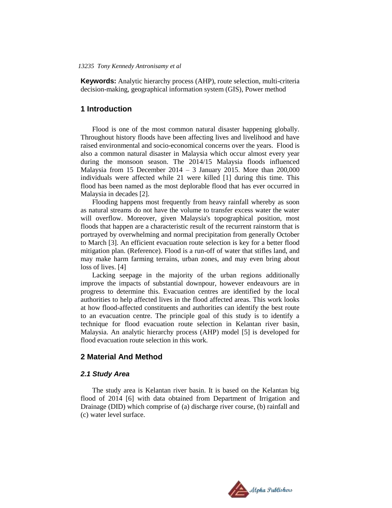**Keywords:** Analytic hierarchy process (AHP), route selection, multi-criteria decision-making, geographical information system (GIS), Power method

#### **1 Introduction**

Flood is one of the most common natural disaster happening globally. Throughout history floods have been affecting lives and livelihood and have raised environmental and socio-economical concerns over the years. Flood is also a common natural disaster in Malaysia which occur almost every year during the monsoon season. The 2014/15 Malaysia floods influenced Malaysia from 15 December  $2014 - 3$  January 2015. More than  $200,000$ individuals were affected while 21 were killed [1] during this time. This flood has been named as the most deplorable flood that has ever occurred in Malaysia in decades [2].

Flooding happens most frequently from heavy rainfall whereby as soon as natural streams do not have the volume to transfer excess water the water will overflow. Moreover, given Malaysia's topographical position, most floods that happen are a characteristic result of the recurrent rainstorm that is portrayed by overwhelming and normal precipitation from generally October to March [3]. An efficient evacuation route selection is key for a better flood mitigation plan. (Reference). Flood is a run-off of water that stifles land, and may make harm farming terrains, urban zones, and may even bring about loss of lives. [4]

Lacking seepage in the majority of the urban regions additionally improve the impacts of substantial downpour, however endeavours are in progress to determine this. Evacuation centres are identified by the local authorities to help affected lives in the flood affected areas. This work looks at how flood-affected constituents and authorities can identify the best route to an evacuation centre. The principle goal of this study is to identify a technique for flood evacuation route selection in Kelantan river basin, Malaysia. An analytic hierarchy process (AHP) model [5] is developed for flood evacuation route selection in this work.

## **2 Material And Method**

#### *2.1 Study Area*

The study area is Kelantan river basin. It is based on the Kelantan big flood of 2014 [6] with data obtained from Department of Irrigation and Drainage (DID) which comprise of (a) discharge river course, (b) rainfall and (c) water level surface.

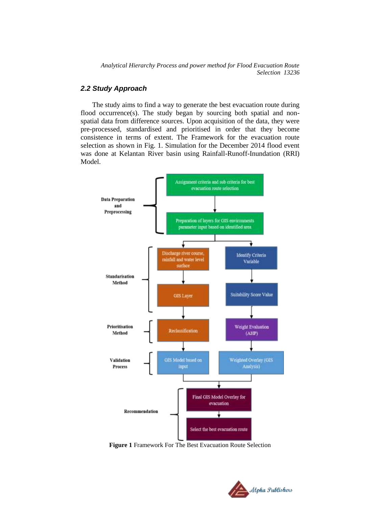## *2.2 Study Approach*

The study aims to find a way to generate the best evacuation route during flood occurrence(s). The study began by sourcing both spatial and nonspatial data from difference sources. Upon acquisition of the data, they were pre-processed, standardised and prioritised in order that they become consistence in terms of extent. The Framework for the evacuation route selection as shown in Fig. 1. Simulation for the December 2014 flood event was done at Kelantan River basin using Rainfall-Runoff-Inundation (RRI) Model.



**Figure 1** Framework For The Best Evacuation Route Selection

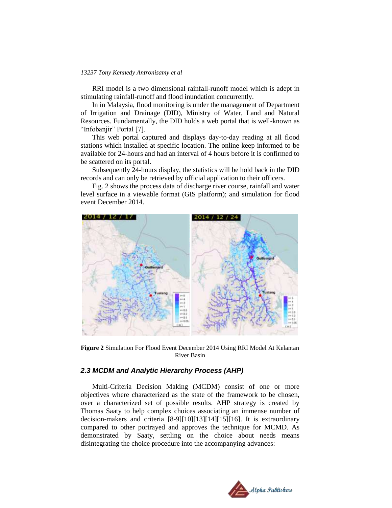RRI model is a two dimensional rainfall-runoff model which is adept in stimulating rainfall-runoff and flood inundation concurrently.

In in Malaysia, flood monitoring is under the management of Department of Irrigation and Drainage (DID), Ministry of Water, Land and Natural Resources. Fundamentally, the DID holds a web portal that is well-known as "Infobanjir" Portal [7].

This web portal captured and displays day-to-day reading at all flood stations which installed at specific location. The online keep informed to be available for 24-hours and had an interval of 4 hours before it is confirmed to be scattered on its portal.

Subsequently 24-hours display, the statistics will be hold back in the DID records and can only be retrieved by official application to their officers.

Fig. 2 shows the process data of discharge river course, rainfall and water level surface in a viewable format (GIS platform); and simulation for flood event December 2014.



**Figure 2** Simulation For Flood Event December 2014 Using RRI Model At Kelantan River Basin

## *2.3 MCDM and Analytic Hierarchy Process (AHP)*

Multi-Criteria Decision Making (MCDM) consist of one or more objectives where characterized as the state of the framework to be chosen, over a characterized set of possible results. AHP strategy is created by Thomas Saaty to help complex choices associating an immense number of decision-makers and criteria [8-9][10][13][14][15][16]. It is extraordinary compared to other portrayed and approves the technique for MCMD. As demonstrated by Saaty, settling on the choice about needs means disintegrating the choice procedure into the accompanying advances:

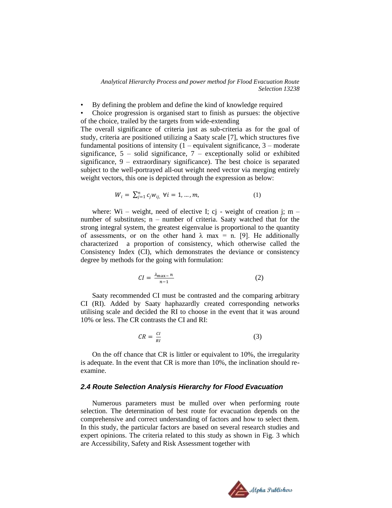• By defining the problem and define the kind of knowledge required

• Choice progression is organised start to finish as pursues: the objective of the choice, trailed by the targets from wide-extending

The overall significance of criteria just as sub-criteria as for the goal of study, criteria are positioned utilizing a Saaty scale [7], which structures five fundamental positions of intensity  $(1 - \text{equivalent significance}, 3 - \text{moderate})$ significance,  $5$  – solid significance,  $7$  – exceptionally solid or exhibited significance,  $9 -$  extraordinary significance). The best choice is separated subject to the well-portrayed all-out weight need vector via merging entirely weight vectors, this one is depicted through the expression as below:

$$
W_i = \sum_{j=1}^n c_j w_{ij}, \ \forall i = 1, \dots, m,
$$
 (1)

where: Wi – weight, need of elective I; cj - weight of creation j; m – number of substitutes; n – number of criteria. Saaty watched that for the strong integral system, the greatest eigenvalue is proportional to the quantity of assessments, or on the other hand  $\lambda$  max = n. [9]. He additionally characterized a proportion of consistency, which otherwise called the Consistency Index (CI), which demonstrates the deviance or consistency degree by methods for the going with formulation:

$$
CI = \frac{\lambda_{\max} - n}{n - 1} \tag{2}
$$

Saaty recommended CI must be contrasted and the comparing arbitrary CI (RI). Added by Saaty haphazardly created corresponding networks utilising scale and decided the RI to choose in the event that it was around 10% or less. The CR contrasts the CI and RI:

$$
CR = \frac{CI}{RI} \tag{3}
$$

On the off chance that CR is littler or equivalent to 10%, the irregularity is adequate. In the event that CR is more than 10%, the inclination should reexamine.

#### *2.4 Route Selection Analysis Hierarchy for Flood Evacuation*

Numerous parameters must be mulled over when performing route selection. The determination of best route for evacuation depends on the comprehensive and correct understanding of factors and how to select them. In this study, the particular factors are based on several research studies and expert opinions. The criteria related to this study as shown in Fig. 3 which are Accessibility, Safety and Risk Assessment together with

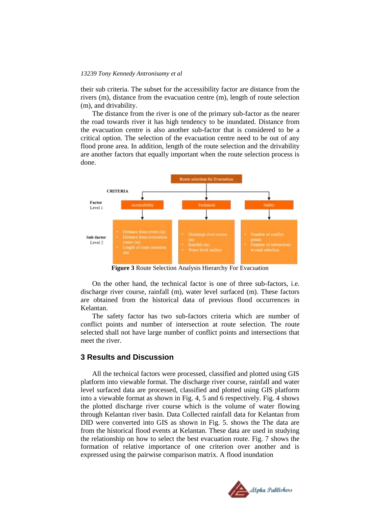their sub criteria. The subset for the accessibility factor are distance from the rivers (m), distance from the evacuation centre (m), length of route selection (m), and drivability.

The distance from the river is one of the primary sub-factor as the nearer the road towards river it has high tendency to be inundated. Distance from the evacuation centre is also another sub-factor that is considered to be a critical option. The selection of the evacuation centre need to be out of any flood prone area. In addition, length of the route selection and the drivability are another factors that equally important when the route selection process is done.



**Figure 3** Route Selection Analysis Hierarchy For Evacuation

On the other hand, the technical factor is one of three sub-factors, i.e. discharge river course, rainfall (m), water level surfaced (m). These factors are obtained from the historical data of previous flood occurrences in Kelantan.

The safety factor has two sub-factors criteria which are number of conflict points and number of intersection at route selection. The route selected shall not have large number of conflict points and intersections that meet the river.

## **3 Results and Discussion**

All the technical factors were processed, classified and plotted using GIS platform into viewable format. The discharge river course, rainfall and water level surfaced data are processed, classified and plotted using GIS platform into a viewable format as shown in Fig. 4, 5 and 6 respectively. Fig. 4 shows the plotted discharge river course which is the volume of water flowing through Kelantan river basin. Data Collected rainfall data for Kelantan from DID were converted into GIS as shown in Fig. 5. shows the The data are from the historical flood events at Kelantan. These data are used in studying the relationship on how to select the best evacuation route. Fig. 7 shows the formation of relative importance of one criterion over another and is expressed using the pairwise comparison matrix. A flood inundation

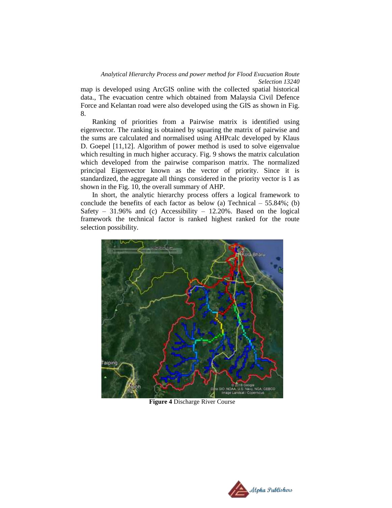map is developed using ArcGIS online with the collected spatial historical data., The evacuation centre which obtained from Malaysia Civil Defence Force and Kelantan road were also developed using the GIS as shown in Fig. 8.

 Ranking of priorities from a Pairwise matrix is identified using eigenvector. The ranking is obtained by squaring the matrix of pairwise and the sums are calculated and normalised using AHPcalc developed by Klaus D. Goepel [11,12]. Algorithm of power method is used to solve eigenvalue which resulting in much higher accuracy. Fig. 9 shows the matrix calculation which developed from the pairwise comparison matrix. The normalized principal Eigenvector known as the vector of priority. Since it is standardized, the aggregate all things considered in the priority vector is 1 as shown in the Fig. 10, the overall summary of AHP.

In short, the analytic hierarchy process offers a logical framework to conclude the benefits of each factor as below (a) Technical  $-55.84\%$ ; (b) Safety – 31.96% and (c) Accessibility – 12.20%. Based on the logical framework the technical factor is ranked highest ranked for the route selection possibility.



**Figure 4** Discharge River Course

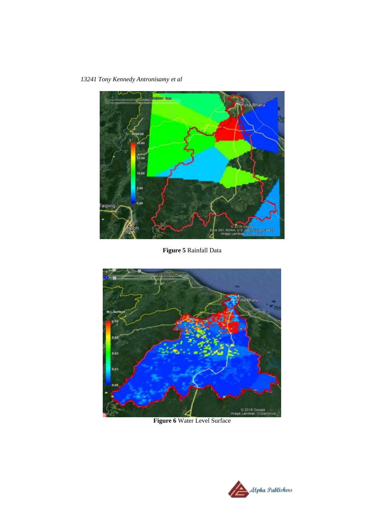*13241 Tony Kennedy Antronisamy et al*



**Figure 5** Rainfall Data



**Figure 6** Water Level Surface

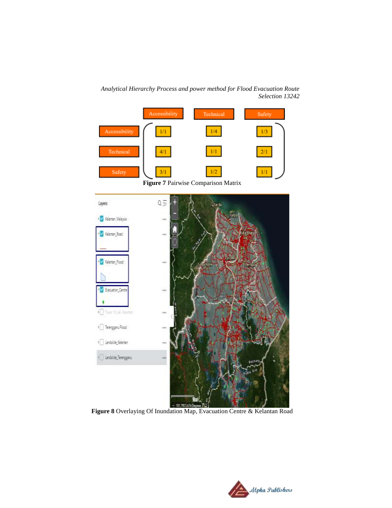Accessibility Technical Safety Accessibility  $1/1\,$  $1/4\,$  $1/3\,$  $1/\mathbf{1}$  $2/1$ Technical  $4/1$  $3/1$  $1/\Gamma$  $1/2$ Safety **Figure 7** Pairwise Comparison Matrix  $Q \overline{z}$ Layers **Jack IV Kelenten, Meleysie** m V Kelentan Road V Kelentan Pood ia) V Elecuation Cen m Tore 1156, Game  $\sqrt{\phantom{a}}$  Terengganu Flood I Landslide Kelenten I Landslide\_Terenggero aast Ol

*Analytical Hierarchy Process and power method for Flood Evacuation Route Selection 13242*

**Figure 8** Overlaying Of Inundation Map, Evacuation Centre & Kelantan Road

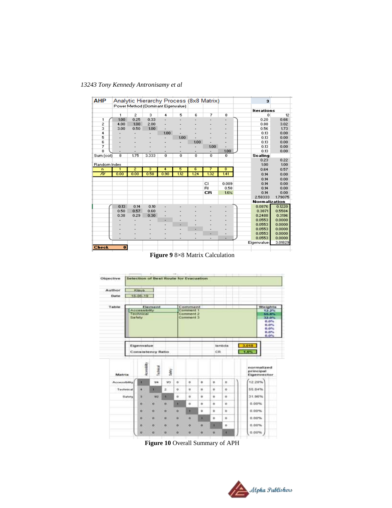| 1            |                         | Power Method (Dominant Eigenvalue) |            |                |                          | Analytic Hierarchy Process (8x8 Matrix) |                                |                     | 3                 |                                                     |
|--------------|-------------------------|------------------------------------|------------|----------------|--------------------------|-----------------------------------------|--------------------------------|---------------------|-------------------|-----------------------------------------------------|
|              |                         |                                    |            |                |                          |                                         |                                |                     |                   |                                                     |
|              |                         |                                    |            |                |                          |                                         |                                |                     |                   |                                                     |
|              |                         |                                    |            |                |                          |                                         |                                |                     | <b>Iterations</b> |                                                     |
|              | $\overline{c}$          | 3                                  | 4          | 5              | 6                        | 7                                       | 8                              |                     | 0                 | 12                                                  |
| 1.00         | 0.25                    | 0.33                               |            |                |                          |                                         |                                |                     | 0.20              | 0.66                                                |
| 4.00         | 1.00                    | 2.00                               |            |                |                          |                                         |                                |                     | 0.88              | 3.02                                                |
| 3.00         | 0.50                    | 1.00                               |            |                |                          |                                         |                                |                     | 0.56              | 1.73                                                |
|              |                         |                                    | 1.00       |                |                          |                                         |                                |                     | 0.13              | 0.00                                                |
|              |                         |                                    |            | 1.00           |                          |                                         |                                |                     | 0.13              | 0.00                                                |
|              |                         |                                    |            |                | 1.00                     |                                         |                                |                     | 0.13              | 0.00                                                |
|              |                         |                                    |            |                |                          |                                         |                                |                     |                   | 0.00                                                |
|              |                         |                                    |            |                |                          |                                         | 1.00                           |                     | 0.13              | 0.00                                                |
|              |                         |                                    |            |                |                          |                                         |                                |                     | Scaling           |                                                     |
|              |                         |                                    |            |                |                          |                                         |                                |                     | 0.23              | 0.22                                                |
| Random Index |                         |                                    |            |                |                          |                                         |                                |                     |                   | 1.00                                                |
| ī            |                         |                                    | 4          |                |                          | 7                                       |                                |                     | 0.64              | 0.57                                                |
| 0.00         | 0.00                    | 0.58                               | 0.90       | 1,12           | 1.24                     |                                         | 1.41                           |                     | 0.14              | 0.00                                                |
|              |                         |                                    |            |                |                          |                                         |                                |                     | 0.14              | 0.00                                                |
|              |                         |                                    |            |                |                          | C)                                      | 0.009                          |                     | 0.14              | 0.00                                                |
|              |                         |                                    |            |                |                          | <b>BI</b>                               | 0.58                           |                     | 0.14              | 0.00                                                |
|              |                         |                                    |            |                |                          | CR                                      | 1.6%                           |                     | 0.14              | 0.00                                                |
|              |                         |                                    |            |                |                          |                                         |                                |                     | 2.58333           | 1.79075                                             |
|              |                         |                                    |            |                |                          |                                         |                                |                     |                   |                                                     |
| 0.13         | 0.14                    | 0.10                               |            |                |                          |                                         |                                |                     | 0.0876            | 0.1220                                              |
| 0.50         | 0.57                    | 0.60                               |            |                |                          |                                         |                                |                     | 0.3871            | 0.5584                                              |
| 0.38         | 0.29                    | 0.30                               |            |                |                          |                                         |                                |                     | 0.2488            | 0.3196                                              |
|              |                         |                                    |            |                |                          |                                         |                                |                     | 0.0553            | 0.0000                                              |
|              |                         |                                    |            |                |                          |                                         |                                |                     | 0.0553            | 0.0000                                              |
|              |                         |                                    |            |                | ٠                        |                                         |                                |                     | 0.0553            | 0.0000                                              |
|              |                         |                                    |            |                |                          | ٠                                       |                                |                     | 0.0553            | 0.0000                                              |
|              |                         |                                    |            |                | $\overline{\phantom{0}}$ | $\overline{\phantom{a}}$                | ٠                              |                     | 0.0553            | 0.0000                                              |
|              |                         |                                    |            |                |                          |                                         |                                |                     |                   | 3.01829                                             |
| $\bullet$    |                         |                                    |            |                |                          |                                         |                                |                     |                   |                                                     |
|              | $\overline{\mathbf{8}}$ | 1.75<br>$\overline{2}$             | 3.333<br>3 | $\overline{0}$ | ō<br>5                   | $\overline{0}$<br>£.                    | 1.00<br>$\overline{0}$<br>1.32 | $\overline{0}$<br>8 |                   | 0.13<br>1.00<br><b>Normalization</b><br>Eigenvalue: |

**Figure 9** 8×8 Matrix Calculation

| Objective                                             |                                                    |          |               |              |              | Selection of Best Route for Evacuation         |              |                                                                    |               |                           |               |         |
|-------------------------------------------------------|----------------------------------------------------|----------|---------------|--------------|--------------|------------------------------------------------|--------------|--------------------------------------------------------------------|---------------|---------------------------|---------------|---------|
| Author                                                |                                                    | Klaus.   |               |              |              |                                                |              |                                                                    |               |                           |               |         |
| Date                                                  |                                                    | 15-06-19 |               |              |              |                                                |              |                                                                    |               |                           |               |         |
| Table                                                 |                                                    |          | Element       |              |              | Comment                                        |              |                                                                    |               |                           |               | Weights |
|                                                       | <b>Accessibility</b><br><b>Technical</b><br>Safety |          |               |              |              | Comment <sub>1</sub><br>Comment 2<br>Comment 3 |              | 12.2%<br>55.8%<br>32.0%<br>0.0%<br>$0.0\%$<br>0.0%<br>0.0%<br>0.0% |               |                           |               |         |
|                                                       | Eigenvalue<br><b>Consistency Ratio</b>             |          |               |              |              |                                                |              |                                                                    | lambda<br>CR. |                           | 3.018<br>1.0% |         |
| <b>koordery</b><br>lochtocal<br><b>Safe</b><br>Matrix |                                                    |          |               |              |              |                                                |              |                                                                    | principal     | normalized<br>Eigenvector |               |         |
| Accessibility                                         |                                                    | ٦        | 1/4           | W3           | o            | $\alpha$                                       | $\alpha$     | $\alpha$                                                           | o             |                           | 12.20%        |         |
| Technical                                             |                                                    | ٠        | ٠             | z            | $\mathbf{o}$ | 'n                                             | $\mathbf{u}$ | $\circ$                                                            | $\alpha$      |                           | <b>SS.84%</b> |         |
|                                                       | <b>Safety</b>                                      | s        | 1/2           | ٠            | $\alpha$     | ù                                              | ù.           | $\mathbf{a}$                                                       | $\alpha$      |                           | 31.96%        |         |
|                                                       |                                                    | w.       | w             | a.           | ٠            | ö.                                             | $\alpha$     | $\alpha$                                                           | o             |                           | 0.00%         |         |
|                                                       |                                                    | i5       | m             | a            | a            | ۱                                              | $\alpha$     | ŭ                                                                  | 'n            |                           | 0.0056        |         |
|                                                       |                                                    | ia.      | W)            | o            | ö            | $\circ$                                        | ٠            | ۰                                                                  | ۰             |                           | 0.00%         |         |
|                                                       |                                                    | Ø.       | $\mathcal{D}$ | $\mathbf{Q}$ | $\circ$      | $\overline{0}$                                 | $\bf{o}$     | ٠                                                                  | o             |                           | 0.00%         |         |
|                                                       |                                                    | <b>D</b> | ø             | $\alpha$     | o            | $\alpha$                                       | $\alpha$     | $\alpha$                                                           | ٠             |                           | 0.00%         |         |

**Figure 10** Overall Summary of APH

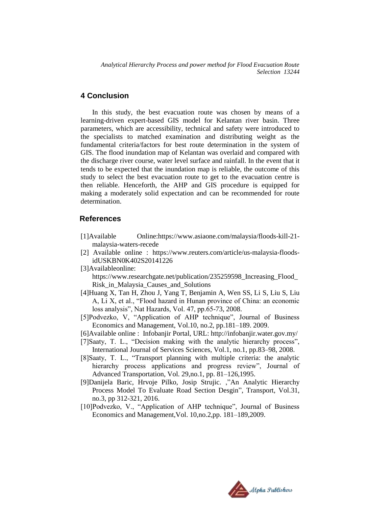## **4 Conclusion**

In this study, the best evacuation route was chosen by means of a learning-driven expert-based GIS model for Kelantan river basin. Three parameters, which are accessibility, technical and safety were introduced to the specialists to matched examination and distributing weight as the fundamental criteria/factors for best route determination in the system of GIS. The flood inundation map of Kelantan was overlaid and compared with the discharge river course, water level surface and rainfall. In the event that it tends to be expected that the inundation map is reliable, the outcome of this study to select the best evacuation route to get to the evacuation centre is then reliable. Henceforth, the AHP and GIS procedure is equipped for making a moderately solid expectation and can be recommended for route determination.

#### **References**

- [1]Available Online:https://www.asiaone.com/malaysia/floods-kill-21 malaysia-waters-recede
- [2] Available online : https://www.reuters.com/article/us-malaysia-floodsidUSKBN0K402S20141226
- [3]Availableonline:

https://www.researchgate.net/publication/235259598\_Increasing\_Flood\_ Risk\_in\_Malaysia\_Causes\_and\_Solutions

- [4]Huang X, Tan H, Zhou J, Yang T, Benjamin A, Wen SS, Li S, Liu S, Liu A, Li X, et al., "Flood hazard in Hunan province of China: an economic loss analysis", Nat Hazards, Vol. 47, pp.65-73, 2008.
- [5]Podvezko, V, "Application of AHP technique", Journal of Business Economics and Management, Vol.10, no.2, pp.181–189. 2009.
- [6]Available online : Infobanjir Portal, URL: http://infobanjir.water.gov.my/
- [7]Saaty, T. L., "Decision making with the analytic hierarchy process", International Journal of Services Sciences, Vol.1, no.1, pp.83–98, 2008.
- [8]Saaty, T. L., "Transport planning with multiple criteria: the analytic hierarchy process applications and progress review", Journal of Advanced Transportation, Vol. 29,no.1, pp. 81–126,1995.
- [9]Danijela Baric, Hrvoje Pilko, Josip Strujic. ,"An Analytic Hierarchy Process Model To Evaluate Road Section Desgin", Transport, Vol.31, no.3, pp 312-321, 2016.
- [10]Podvezko, V., "Application of AHP technique", Journal of Business Economics and Management,Vol. 10,no.2,pp. 181–189,2009.

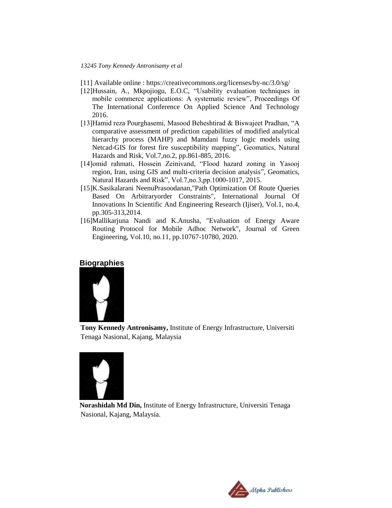- [11] Available online : https://creativecommons.org/licenses/by-nc/3.0/sg/
- [12]Hussain, A., Mkpojiogu, E.O.C, "Usability evaluation techniques in mobile commerce applications: A systematic review", Proceedings Of The International Conference On Applied Science And Technology 2016.
- [13]Hamid reza Pourghasemi, Masood Beheshtirad & Biswajeet Pradhan, "A comparative assessment of prediction capabilities of modified analytical hierarchy process (MAHP) and Mamdani fuzzy logic models using Netcad-GIS for forest fire susceptibility mapping", Geomatics, Natural Hazards and Risk, Vol.7,no.2, pp.861-885, 2016.
- [14]omid rahmati, Hossein Zeinivand, "Flood hazard zoning in Yasooj region, Iran, using GIS and multi-criteria decision analysis", Geomatics, Natural Hazards and Risk", Vol.7,no.3,pp.1000-1017, 2015.
- [15]K.Sasikalarani NeenuPrasoodanan,"Path Optimization Of Route Queries Based On Arbitraryorder Constraints", International Journal Of Innovations In Scientific And Engineering Research (Ijiser), Vol.1, no.4, pp.305-313,2014.
- [16]Mallikarjuna Nandi and K.Anusha, "Evaluation of Energy Aware Routing Protocol for Mobile Adhoc Network", Journal of Green Engineering, Vol.10, no.11, pp.10767-10780, 2020.

#### **Biographies**



**Tony Kennedy Antronisamy,** Institute of Energy Infrastructure, Universiti Tenaga Nasional, Kajang, Malaysia



**Norashidah Md Din,** Institute of Energy Infrastructure, Universiti Tenaga Nasional, Kajang, Malaysia.